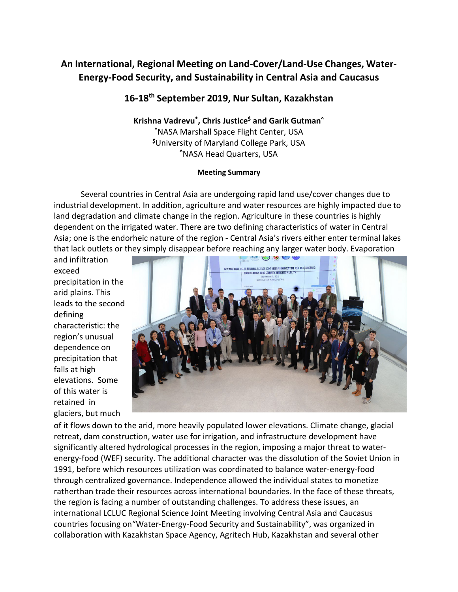# **An International, Regional Meeting on Land-Cover/Land-Use Changes, Water-Energy-Food Security, and Sustainability in Central Asia and Caucasus**

# **16-18th September 2019, Nur Sultan, Kazakhstan**

**Krishna Vadrevu\*, Chris Justice\$ and Garik Gutman^** \* NASA Marshall Space Flight Center, USA **\$**University of Maryland College Park, USA **^**NASA Head Quarters, USA

#### **Meeting Summary**

Several countries in Central Asia are undergoing rapid land use/cover changes due to industrial development. In addition, agriculture and water resources are highly impacted due to land degradation and climate change in the region. Agriculture in these countries is highly dependent on the irrigated water. There are two defining characteristics of water in Central Asia; one is the endorheic nature of the region - Central Asia's rivers either enter terminal lakes that lack outlets or they simply disappear before reaching any larger water body. Evaporation

and infiltration exceed precipitation in the arid plains. This leads to the second defining characteristic: the region's unusual dependence on precipitation that falls at high elevations. Some of this water is retained in glaciers, but much



of it flows down to the arid, more heavily populated lower elevations. Climate change, glacial retreat, dam construction, water use for irrigation, and infrastructure development have significantly altered hydrological processes in the region, imposing a major threat to waterenergy-food (WEF) security. The additional character was the dissolution of the Soviet Union in 1991, before which resources utilization was coordinated to balance water-energy-food through centralized governance. Independence allowed the individual states to monetize ratherthan trade their resources across international boundaries. In the face of these threats, the region is facing a number of outstanding challenges. To address these issues, an international LCLUC Regional Science Joint Meeting involving Central Asia and Caucasus countries focusing on"Water-Energy-Food Security and Sustainability", was organized in collaboration with Kazakhstan Space Agency, Agritech Hub, Kazakhstan and several other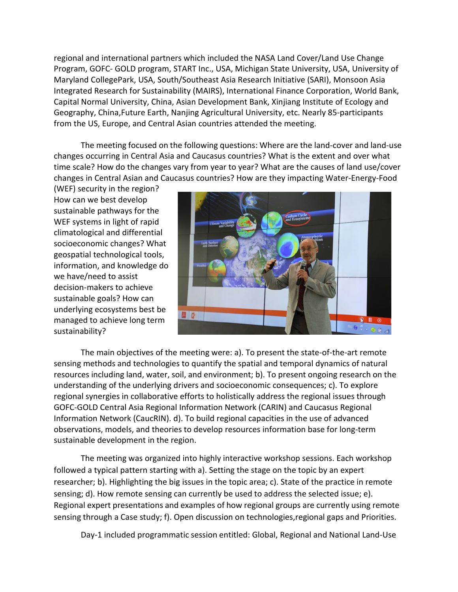regional and international partners which included the NASA Land Cover/Land Use Change Program, GOFC- GOLD program, START Inc., USA, Michigan State University, USA, University of Maryland CollegePark, USA, South/Southeast Asia Research Initiative (SARI), Monsoon Asia Integrated Research for Sustainability (MAIRS), International Finance Corporation, World Bank, Capital Normal University, China, Asian Development Bank, Xinjiang Institute of Ecology and Geography, China,Future Earth, Nanjing Agricultural University, etc. Nearly 85-participants from the US, Europe, and Central Asian countries attended the meeting.

The meeting focused on the following questions: Where are the land-cover and land-use changes occurring in Central Asia and Caucasus countries? What is the extent and over what time scale? How do the changes vary from year to year? What are the causes of land use/cover changes in Central Asian and Caucasus countries? How are they impacting Water-Energy-Food

(WEF) security in the region? How can we best develop sustainable pathways for the WEF systems in light of rapid climatological and differential socioeconomic changes? What geospatial technological tools, information, and knowledge do we have/need to assist decision-makers to achieve sustainable goals? How can underlying ecosystems best be managed to achieve long term sustainability?



The main objectives of the meeting were: a). To present the state-of-the-art remote sensing methods and technologies to quantify the spatial and temporal dynamics of natural resources including land, water, soil, and environment; b). To present ongoing research on the understanding of the underlying drivers and socioeconomic consequences; c). To explore regional synergies in collaborative efforts to holistically address the regional issues through GOFC-GOLD Central Asia Regional Information Network (CARIN) and Caucasus Regional Information Network (CaucRIN). d). To build regional capacities in the use of advanced observations, models, and theories to develop resources information base for long-term sustainable development in the region.

The meeting was organized into highly interactive workshop sessions. Each workshop followed a typical pattern starting with a). Setting the stage on the topic by an expert researcher; b). Highlighting the big issues in the topic area; c). State of the practice in remote sensing; d). How remote sensing can currently be used to address the selected issue; e). Regional expert presentations and examples of how regional groups are currently using remote sensing through a Case study; f). Open discussion on technologies,regional gaps and Priorities.

Day-1 included programmatic session entitled: Global, Regional and National Land-Use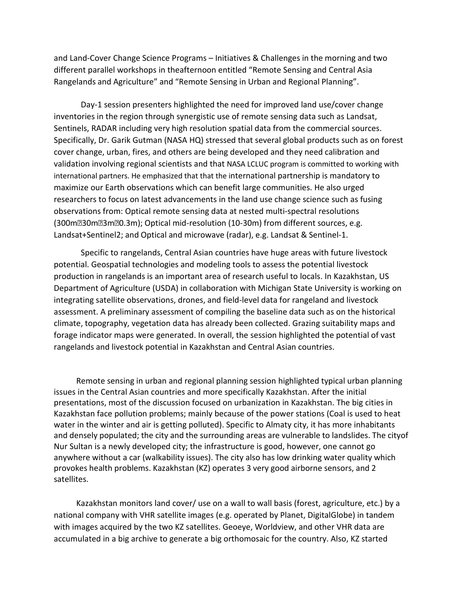and Land-Cover Change Science Programs – Initiatives & Challenges in the morning and two different parallel workshops in theafternoon entitled "Remote Sensing and Central Asia Rangelands and Agriculture" and "Remote Sensing in Urban and Regional Planning".

Day-1 session presenters highlighted the need for improved land use/cover change inventories in the region through synergistic use of remote sensing data such as Landsat, Sentinels, RADAR including very high resolution spatial data from the commercial sources. Specifically, Dr. Garik Gutman (NASA HQ) stressed that several global products such as on forest cover change, urban, fires, and others are being developed and they need calibration and validation involving regional scientists and that NASA LCLUC program is committed to working with international partners. He emphasized that that the international partnership is mandatory to maximize our Earth observations which can benefit large communities. He also urged researchers to focus on latest advancements in the land use change science such as fusing observations from: Optical remote sensing data at nested multi-spectral resolutions (300m30m3m0.3m); Optical mid-resolution (10-30m) from different sources, e.g. Landsat+Sentinel2; and Optical and microwave (radar), e.g. Landsat & Sentinel-1.

Specific to rangelands, Central Asian countries have huge areas with future livestock potential. Geospatial technologies and modeling tools to assess the potential livestock production in rangelands is an important area of research useful to locals. In Kazakhstan, US Department of Agriculture (USDA) in collaboration with Michigan State University is working on integrating satellite observations, drones, and field-level data for rangeland and livestock assessment. A preliminary assessment of compiling the baseline data such as on the historical climate, topography, vegetation data has already been collected. Grazing suitability maps and forage indicator maps were generated. In overall, the session highlighted the potential of vast rangelands and livestock potential in Kazakhstan and Central Asian countries.

Remote sensing in urban and regional planning session highlighted typical urban planning issues in the Central Asian countries and more specifically Kazakhstan. After the initial presentations, most of the discussion focused on urbanization in Kazakhstan. The big cities in Kazakhstan face pollution problems; mainly because of the power stations (Coal is used to heat water in the winter and air is getting polluted). Specific to Almaty city, it has more inhabitants and densely populated; the city and the surrounding areas are vulnerable to landslides. The cityof Nur Sultan is a newly developed city; the infrastructure is good, however, one cannot go anywhere without a car (walkability issues). The city also has low drinking water quality which provokes health problems. Kazakhstan (KZ) operates 3 very good airborne sensors, and 2 satellites.

Kazakhstan monitors land cover/ use on a wall to wall basis (forest, agriculture, etc.) by a national company with VHR satellite images (e.g. operated by Planet, DigitalGlobe) in tandem with images acquired by the two KZ satellites. Geoeye, Worldview, and other VHR data are accumulated in a big archive to generate a big orthomosaic for the country. Also, KZ started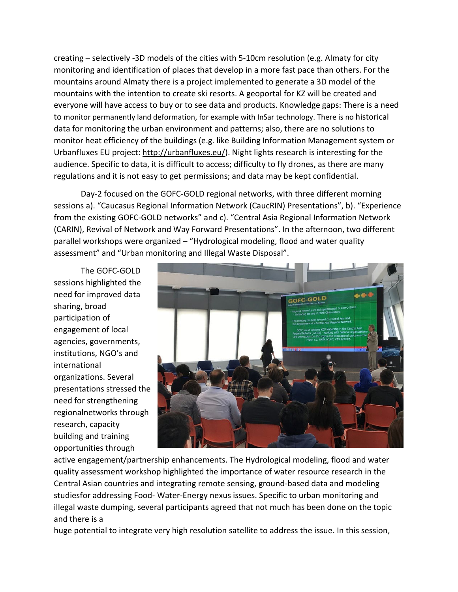creating – selectively -3D models of the cities with 5-10cm resolution (e.g. Almaty for city monitoring and identification of places that develop in a more fast pace than others. For the mountains around Almaty there is a project implemented to generate a 3D model of the mountains with the intention to create ski resorts. A geoportal for KZ will be created and everyone will have access to buy or to see data and products. Knowledge gaps: There is a need to monitor permanently land deformation, for example with InSar technology. There is no historical data for monitoring the urban environment and patterns; also, there are no solutions to monitor heat efficiency of the buildings (e.g. like Building Information Management system or Urbanfluxes EU project: [http://urbanfluxes.eu/\). N](http://urbanfluxes.eu/))ight lights research is interesting for the audience. Specific to data, it is difficult to access; difficulty to fly drones, as there are many regulations and it is not easy to get permissions; and data may be kept confidential.

Day-2 focused on the GOFC-GOLD regional networks, with three different morning sessions a). "Caucasus Regional Information Network (CaucRIN) Presentations", b). "Experience from the existing GOFC-GOLD networks" and c). "Central Asia Regional Information Network (CARIN), Revival of Network and Way Forward Presentations". In the afternoon, two different parallel workshops were organized – "Hydrological modeling, flood and water quality assessment" and "Urban monitoring and Illegal Waste Disposal".

The GOFC-GOLD sessions highlighted the need for improved data sharing, broad participation of engagement of local agencies, governments, institutions, NGO's and international organizations. Several presentations stressed the need for strengthening regionalnetworks through research, capacity building and training opportunities through



active engagement/partnership enhancements. The Hydrological modeling, flood and water quality assessment workshop highlighted the importance of water resource research in the Central Asian countries and integrating remote sensing, ground-based data and modeling studiesfor addressing Food- Water-Energy nexus issues. Specific to urban monitoring and illegal waste dumping, several participants agreed that not much has been done on the topic and there is a

huge potential to integrate very high resolution satellite to address the issue. In this session,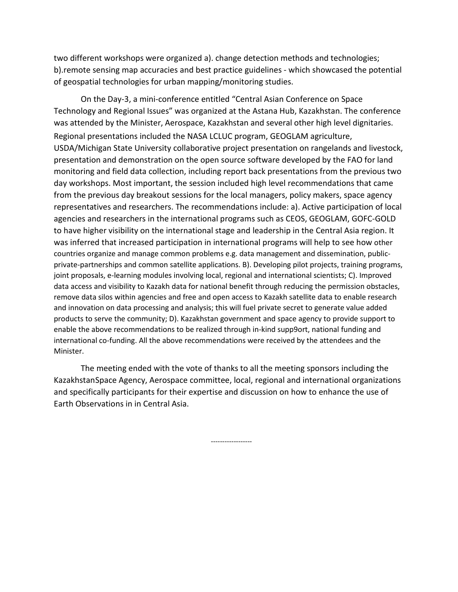two different workshops were organized a). change detection methods and technologies; b).remote sensing map accuracies and best practice guidelines - which showcased the potential of geospatial technologies for urban mapping/monitoring studies.

On the Day-3, a mini-conference entitled "Central Asian Conference on Space Technology and Regional Issues" was organized at the Astana Hub, Kazakhstan. The conference was attended by the Minister, Aerospace, Kazakhstan and several other high level dignitaries. Regional presentations included the NASA LCLUC program, GEOGLAM agriculture, USDA/Michigan State University collaborative project presentation on rangelands and livestock, presentation and demonstration on the open source software developed by the FAO for land monitoring and field data collection, including report back presentations from the previous two day workshops. Most important, the session included high level recommendations that came from the previous day breakout sessions for the local managers, policy makers, space agency representatives and researchers. The recommendations include: a). Active participation of local agencies and researchers in the international programs such as CEOS, GEOGLAM, GOFC-GOLD to have higher visibility on the international stage and leadership in the Central Asia region. It was inferred that increased participation in international programs will help to see how other countries organize and manage common problems e.g. data management and dissemination, publicprivate-partnerships and common satellite applications. B). Developing pilot projects, training programs, joint proposals, e-learning modules involving local, regional and international scientists; C). Improved data access and visibility to Kazakh data for national benefit through reducing the permission obstacles, remove data silos within agencies and free and open access to Kazakh satellite data to enable research and innovation on data processing and analysis; this will fuel private secret to generate value added products to serve the community; D). Kazakhstan government and space agency to provide support to enable the above recommendations to be realized through in-kind supp9ort, national funding and international co-funding. All the above recommendations were received by the attendees and the Minister.

The meeting ended with the vote of thanks to all the meeting sponsors including the KazakhstanSpace Agency, Aerospace committee, local, regional and international organizations and specifically participants for their expertise and discussion on how to enhance the use of Earth Observations in in Central Asia.

------------------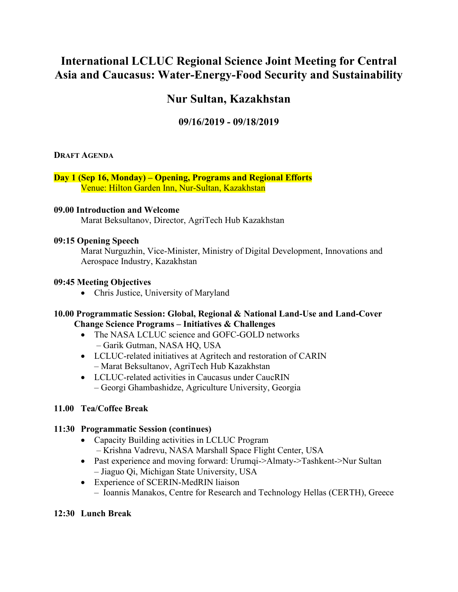# **International LCLUC Regional Science Joint Meeting for Central Asia and Caucasus: Water-Energy-Food Security and Sustainability**

# **Nur Sultan, Kazakhstan**

# **09/16/2019 - 09/18/2019**

#### **DRAFT AGENDA**

#### **Day 1 (Sep 16, Monday) – Opening, Programs and Regional Efforts** Venue: Hilton Garden Inn, Nur-Sultan, Kazakhstan

#### **09.00 Introduction and Welcome**

Marat Beksultanov, Director, AgriTech Hub Kazakhstan

#### **09:15 Opening Speech**

Marat Nurguzhin, Vice-Minister, Ministry of Digital Development, Innovations and Aerospace Industry, Kazakhstan

#### **09:45 Meeting Objectives**

• Chris Justice, University of Maryland

#### **10.00 Programmatic Session: Global, Regional & National Land-Use and Land-Cover Change Science Programs – Initiatives & Challenges**

- The NASA LCLUC science and GOFC-GOLD networks – Garik Gutman, NASA HQ, USA
- LCLUC-related initiatives at Agritech and restoration of CARIN – Marat Beksultanov, AgriTech Hub Kazakhstan
- LCLUC-related activities in Caucasus under CaucRIN – Georgi Ghambashidze, Agriculture University, Georgia

## **11.00 Tea/Coffee Break**

## **11:30 Programmatic Session (continues)**

- Capacity Building activities in LCLUC Program – Krishna Vadrevu, NASA Marshall Space Flight Center, USA
- Past experience and moving forward: Urumqi->Almaty->Tashkent->Nur Sultan – Jiaguo Qi, Michigan State University, USA
- Experience of SCERIN-MedRIN liaison
	- Ioannis Manakos, Centre for Research and Technology Hellas (CERTH), Greece

## **12:30 Lunch Break**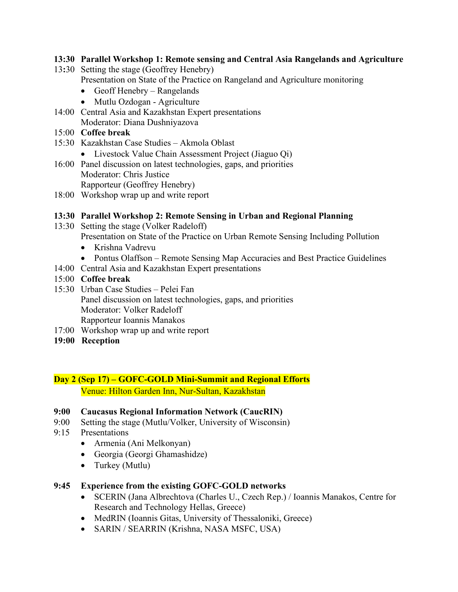#### **13:30 Parallel Workshop 1: Remote sensing and Central Asia Rangelands and Agriculture**

- 13**:**30 Setting the stage (Geoffrey Henebry)
	- Presentation on State of the Practice on Rangeland and Agriculture monitoring
		- Geoff Henebry Rangelands
		- Mutlu Ozdogan Agriculture
- 14:00 Central Asia and Kazakhstan Expert presentations Moderator: Diana Dushniyazova
- 15:00 **Coffee break**
- 15:30 Kazakhstan Case Studies Akmola Oblast
	- Livestock Value Chain Assessment Project (Jiaguo Qi)
- 16:00 Panel discussion on latest technologies, gaps, and priorities Moderator: Chris Justice Rapporteur (Geoffrey Henebry)
- 18:00 Workshop wrap up and write report

#### **13:30 Parallel Workshop 2: Remote Sensing in Urban and Regional Planning**

- 13:30 Setting the stage (Volker Radeloff) Presentation on State of the Practice on Urban Remote Sensing Including Pollution
	- Krishna Vadrevu
	- Pontus Olaffson Remote Sensing Map Accuracies and Best Practice Guidelines
- 14:00 Central Asia and Kazakhstan Expert presentations
- 15:00 **Coffee break**
- 15:30 Urban Case Studies Pelei Fan Panel discussion on latest technologies, gaps, and priorities Moderator: Volker Radeloff Rapporteur Ioannis Manakos
- 17:00 Workshop wrap up and write report
- **19:00 Reception**

## **Day 2 (Sep 17) – GOFC-GOLD Mini-Summit and Regional Efforts** Venue: Hilton Garden Inn, Nur-Sultan, Kazakhstan

#### **9:00 Caucasus Regional Information Network (CaucRIN)**

- 9:00 Setting the stage (Mutlu/Volker, University of Wisconsin)
- 9:15 Presentations
	- Armenia (Ani Melkonyan)
	- Georgia (Georgi Ghamashidze)
	- Turkey (Mutlu)

#### **9:45 Experience from the existing GOFC-GOLD networks**

- SCERIN (Jana Albrechtova (Charles U., Czech Rep.) / Ioannis Manakos, Centre for Research and Technology Hellas, Greece)
- MedRIN (Ioannis Gitas, University of Thessaloniki, Greece)
- SARIN / SEARRIN (Krishna, NASA MSFC, USA)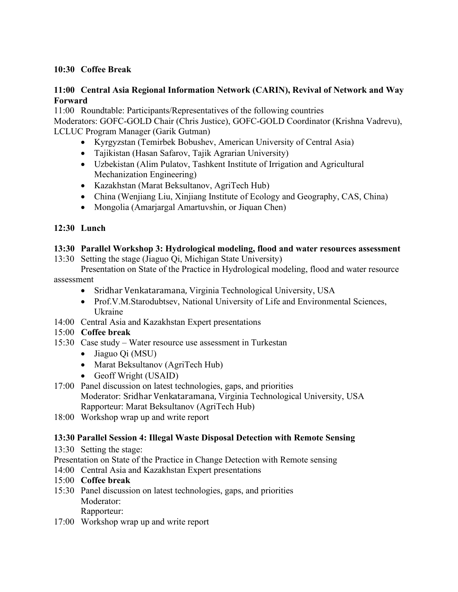## **10:30 Coffee Break**

## **11:00 Central Asia Regional Information Network (CARIN), Revival of Network and Way Forward**

11:00 Roundtable: Participants/Representatives of the following countries

Moderators: GOFC-GOLD Chair (Chris Justice), GOFC-GOLD Coordinator (Krishna Vadrevu), LCLUC Program Manager (Garik Gutman)

- Kyrgyzstan (Temirbek Bobushev, American University of Central Asia)
- Tajikistan (Hasan Safarov, Tajik Agrarian University)
- Uzbekistan (Alim Pulatov, Tashkent Institute of Irrigation and Agricultural Mechanization Engineering)
- Kazakhstan (Marat Beksultanov, AgriTech Hub)
- China (Wenjiang Liu, Xinjiang Institute of Ecology and Geography, CAS, China)
- Mongolia (Amarjargal Amartuvshin, or Jiquan Chen)

## **12:30 Lunch**

## **13:30 Parallel Workshop 3: Hydrological modeling, flood and water resources assessment**

13:30 Setting the stage (Jiaguo Qi, Michigan State University)

Presentation on State of the Practice in Hydrological modeling, flood and water resource assessment

- Sridhar Venkataramana, Virginia Technological University, USA
- Prof.V.M.Starodubtsev, National University of Life and Environmental Sciences, Ukraine
- 14:00 Central Asia and Kazakhstan Expert presentations

## 15:00 **Coffee break**

- 15:30 Case study Water resource use assessment in Turkestan
	- Jiaguo Qi (MSU)
	- Marat Beksultanov (AgriTech Hub)
	- Geoff Wright (USAID)
- 17:00 Panel discussion on latest technologies, gaps, and priorities Moderator: Sridhar Venkataramana, Virginia Technological University, USA Rapporteur: Marat Beksultanov (AgriTech Hub)
- 18:00 Workshop wrap up and write report

## **13:30 Parallel Session 4: Illegal Waste Disposal Detection with Remote Sensing**

13:30 Setting the stage:

Presentation on State of the Practice in Change Detection with Remote sensing

- 14:00 Central Asia and Kazakhstan Expert presentations
- 15:00 **Coffee break**
- 15:30 Panel discussion on latest technologies, gaps, and priorities Moderator: Rapporteur:
- 17:00 Workshop wrap up and write report